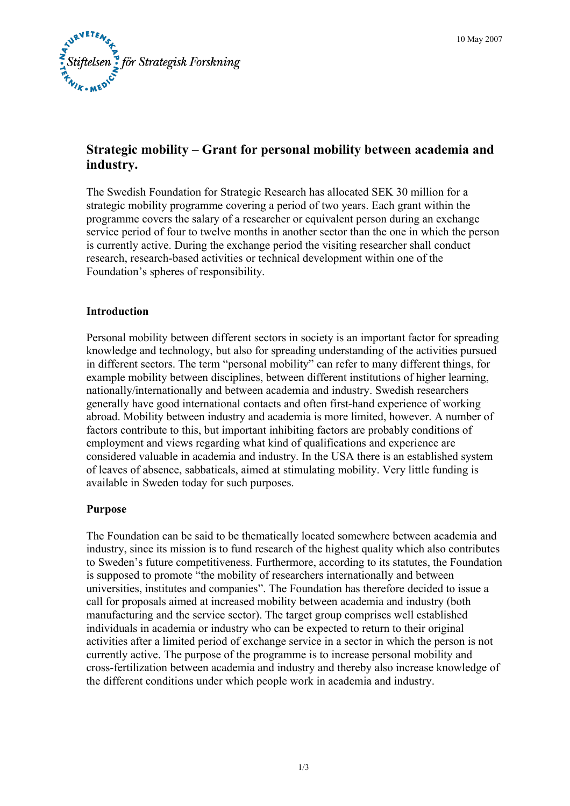

# **Strategic mobility – Grant for personal mobility between academia and industry.**

The Swedish Foundation for Strategic Research has allocated SEK 30 million for a strategic mobility programme covering a period of two years. Each grant within the programme covers the salary of a researcher or equivalent person during an exchange service period of four to twelve months in another sector than the one in which the person is currently active. During the exchange period the visiting researcher shall conduct research, research-based activities or technical development within one of the Foundation's spheres of responsibility.

### **Introduction**

Personal mobility between different sectors in society is an important factor for spreading knowledge and technology, but also for spreading understanding of the activities pursued in different sectors. The term "personal mobility" can refer to many different things, for example mobility between disciplines, between different institutions of higher learning, nationally/internationally and between academia and industry. Swedish researchers generally have good international contacts and often first-hand experience of working abroad. Mobility between industry and academia is more limited, however. A number of factors contribute to this, but important inhibiting factors are probably conditions of employment and views regarding what kind of qualifications and experience are considered valuable in academia and industry. In the USA there is an established system of leaves of absence, sabbaticals, aimed at stimulating mobility. Very little funding is available in Sweden today for such purposes.

### **Purpose**

The Foundation can be said to be thematically located somewhere between academia and industry, since its mission is to fund research of the highest quality which also contributes to Sweden's future competitiveness. Furthermore, according to its statutes, the Foundation is supposed to promote "the mobility of researchers internationally and between universities, institutes and companies". The Foundation has therefore decided to issue a call for proposals aimed at increased mobility between academia and industry (both manufacturing and the service sector). The target group comprises well established individuals in academia or industry who can be expected to return to their original activities after a limited period of exchange service in a sector in which the person is not currently active. The purpose of the programme is to increase personal mobility and cross-fertilization between academia and industry and thereby also increase knowledge of the different conditions under which people work in academia and industry.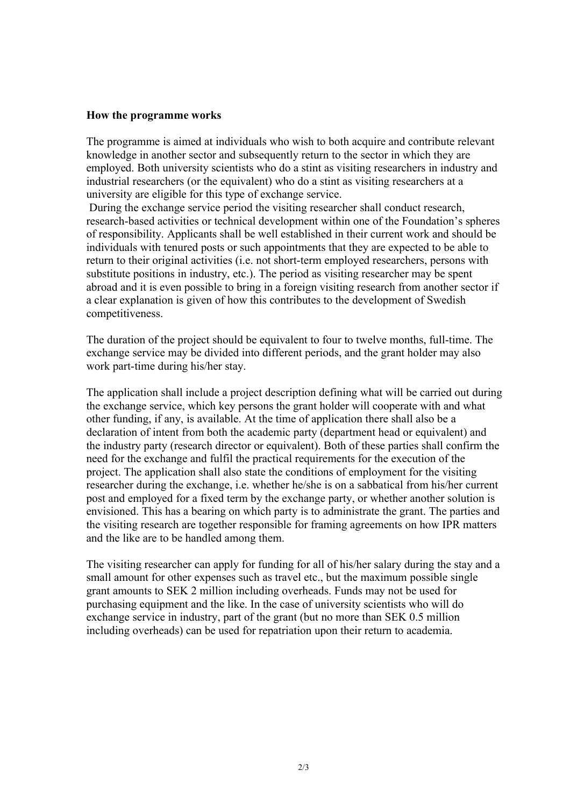#### **How the programme works**

The programme is aimed at individuals who wish to both acquire and contribute relevant knowledge in another sector and subsequently return to the sector in which they are employed. Both university scientists who do a stint as visiting researchers in industry and industrial researchers (or the equivalent) who do a stint as visiting researchers at a university are eligible for this type of exchange service.

 During the exchange service period the visiting researcher shall conduct research, research-based activities or technical development within one of the Foundation's spheres of responsibility. Applicants shall be well established in their current work and should be individuals with tenured posts or such appointments that they are expected to be able to return to their original activities (i.e. not short-term employed researchers, persons with substitute positions in industry, etc.). The period as visiting researcher may be spent abroad and it is even possible to bring in a foreign visiting research from another sector if a clear explanation is given of how this contributes to the development of Swedish competitiveness.

The duration of the project should be equivalent to four to twelve months, full-time. The exchange service may be divided into different periods, and the grant holder may also work part-time during his/her stay.

The application shall include a project description defining what will be carried out during the exchange service, which key persons the grant holder will cooperate with and what other funding, if any, is available. At the time of application there shall also be a declaration of intent from both the academic party (department head or equivalent) and the industry party (research director or equivalent). Both of these parties shall confirm the need for the exchange and fulfil the practical requirements for the execution of the project. The application shall also state the conditions of employment for the visiting researcher during the exchange, i.e. whether he/she is on a sabbatical from his/her current post and employed for a fixed term by the exchange party, or whether another solution is envisioned. This has a bearing on which party is to administrate the grant. The parties and the visiting research are together responsible for framing agreements on how IPR matters and the like are to be handled among them.

The visiting researcher can apply for funding for all of his/her salary during the stay and a small amount for other expenses such as travel etc., but the maximum possible single grant amounts to SEK 2 million including overheads. Funds may not be used for purchasing equipment and the like. In the case of university scientists who will do exchange service in industry, part of the grant (but no more than SEK 0.5 million including overheads) can be used for repatriation upon their return to academia.